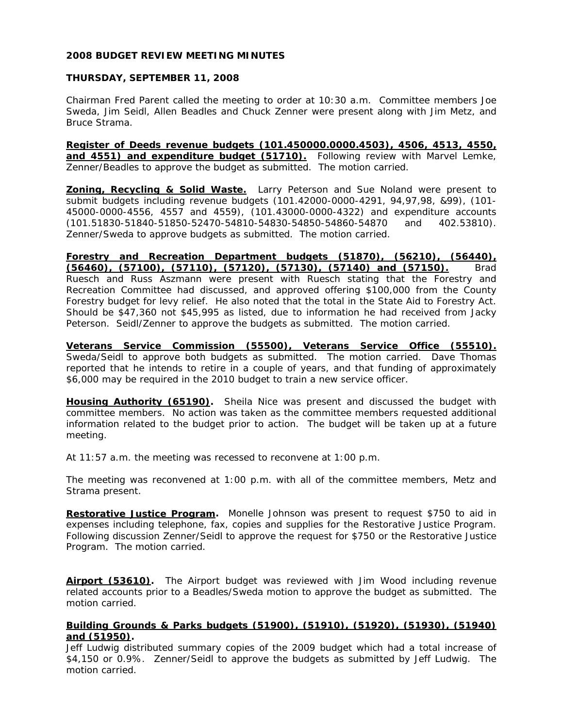# **2008 BUDGET REVIEW MEETING MINUTES**

# **THURSDAY, SEPTEMBER 11, 2008**

Chairman Fred Parent called the meeting to order at 10:30 a.m. Committee members Joe Sweda, Jim Seidl, Allen Beadles and Chuck Zenner were present along with Jim Metz, and Bruce Strama.

**Register of Deeds revenue budgets (101.450000.0000.4503), 4506, 4513, 4550, and 4551) and expenditure budget (51710).** Following review with Marvel Lemke, Zenner/Beadles to approve the budget as submitted. The motion carried.

**Zoning, Recycling & Solid Waste.** Larry Peterson and Sue Noland were present to submit budgets including revenue budgets (101.42000-0000-4291, 94,97,98, &99), (101- 45000-0000-4556, 4557 and 4559), (101.43000-0000-4322) and expenditure accounts (101.51830-51840-51850-52470-54810-54830-54850-54860-54870 and 402.53810). Zenner/Sweda to approve budgets as submitted. The motion carried.

**Forestry and Recreation Department budgets (51870), (56210), (56440), (56460), (57100), (57110), (57120), (57130), (57140) and (57150).** Brad Ruesch and Russ Aszmann were present with Ruesch stating that the Forestry and Recreation Committee had discussed, and approved offering \$100,000 from the County Forestry budget for levy relief. He also noted that the total in the State Aid to Forestry Act. Should be \$47,360 not \$45,995 as listed, due to information he had received from Jacky Peterson. Seidl/Zenner to approve the budgets as submitted. The motion carried.

**Veterans Service Commission (55500), Veterans Service Office (55510).** Sweda/Seidl to approve both budgets as submitted. The motion carried. Dave Thomas reported that he intends to retire in a couple of years, and that funding of approximately \$6,000 may be required in the 2010 budget to train a new service officer.

**Housing Authority (65190).** Sheila Nice was present and discussed the budget with committee members. No action was taken as the committee members requested additional information related to the budget prior to action. The budget will be taken up at a future meeting.

At 11:57 a.m. the meeting was recessed to reconvene at 1:00 p.m.

The meeting was reconvened at 1:00 p.m. with all of the committee members, Metz and Strama present.

**Restorative Justice Program.** Monelle Johnson was present to request \$750 to aid in expenses including telephone, fax, copies and supplies for the Restorative Justice Program. Following discussion Zenner/Seidl to approve the request for \$750 or the Restorative Justice Program. The motion carried.

**Airport (53610).** The Airport budget was reviewed with Jim Wood including revenue related accounts prior to a Beadles/Sweda motion to approve the budget as submitted. The motion carried.

# **Building Grounds & Parks budgets (51900), (51910), (51920), (51930), (51940) and (51950).**

Jeff Ludwig distributed summary copies of the 2009 budget which had a total increase of \$4,150 or 0.9%. Zenner/Seidl to approve the budgets as submitted by Jeff Ludwig. The motion carried.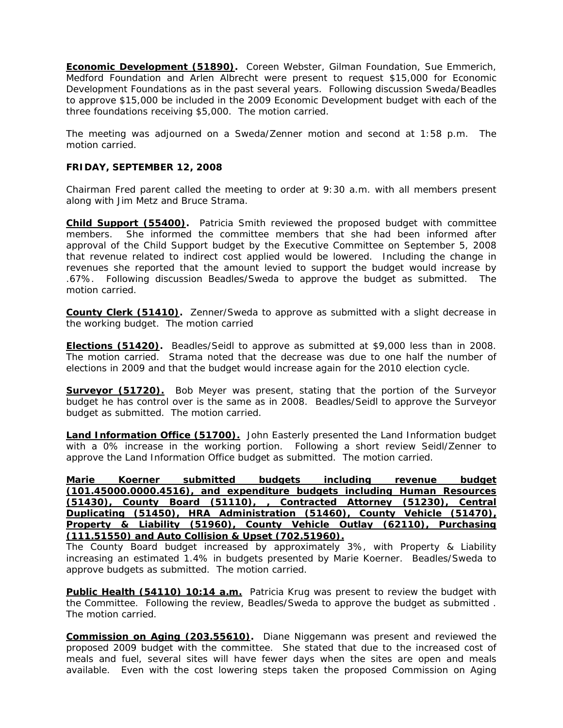**Economic Development (51890).** Coreen Webster, Gilman Foundation, Sue Emmerich, Medford Foundation and Arlen Albrecht were present to request \$15,000 for Economic Development Foundations as in the past several years. Following discussion Sweda/Beadles to approve \$15,000 be included in the 2009 Economic Development budget with each of the three foundations receiving \$5,000. The motion carried.

The meeting was adjourned on a Sweda/Zenner motion and second at 1:58 p.m. The motion carried.

# **FRIDAY, SEPTEMBER 12, 2008**

Chairman Fred parent called the meeting to order at 9:30 a.m. with all members present along with Jim Metz and Bruce Strama.

**Child Support (55400).** Patricia Smith reviewed the proposed budget with committee members. She informed the committee members that she had been informed after approval of the Child Support budget by the Executive Committee on September 5, 2008 that revenue related to indirect cost applied would be lowered. Including the change in revenues she reported that the amount levied to support the budget would increase by .67%. Following discussion Beadles/Sweda to approve the budget as submitted. The motion carried.

**County Clerk (51410).** Zenner/Sweda to approve as submitted with a slight decrease in the working budget. The motion carried

**Elections (51420).** Beadles/Seidl to approve as submitted at \$9,000 less than in 2008. The motion carried. Strama noted that the decrease was due to one half the number of elections in 2009 and that the budget would increase again for the 2010 election cycle.

**Surveyor (51720).** Bob Meyer was present, stating that the portion of the Surveyor budget he has control over is the same as in 2008. Beadles/Seidl to approve the Surveyor budget as submitted. The motion carried.

**Land Information Office (51700).** John Easterly presented the Land Information budget with a 0% increase in the working portion. Following a short review Seidl/Zenner to approve the Land Information Office budget as submitted. The motion carried.

**Marie Koerner submitted budgets including revenue budget (101.45000.0000.4516), and expenditure budgets including Human Resources (51430), County Board (51110), , Contracted Attorney (51230), Central Duplicating (51450), HRA Administration (51460), County Vehicle (51470), Property & Liability (51960), County Vehicle Outlay (62110), Purchasing (111.51550) and Auto Collision & Upset (702.51960).**

The County Board budget increased by approximately 3%, with Property & Liability increasing an estimated 1.4% in budgets presented by Marie Koerner. Beadles/Sweda to approve budgets as submitted. The motion carried.

**Public Health (54110) 10:14 a.m.** Patricia Krug was present to review the budget with the Committee. Following the review, Beadles/Sweda to approve the budget as submitted . The motion carried.

**Commission on Aging (203.55610).** Diane Niggemann was present and reviewed the proposed 2009 budget with the committee. She stated that due to the increased cost of meals and fuel, several sites will have fewer days when the sites are open and meals available. Even with the cost lowering steps taken the proposed Commission on Aging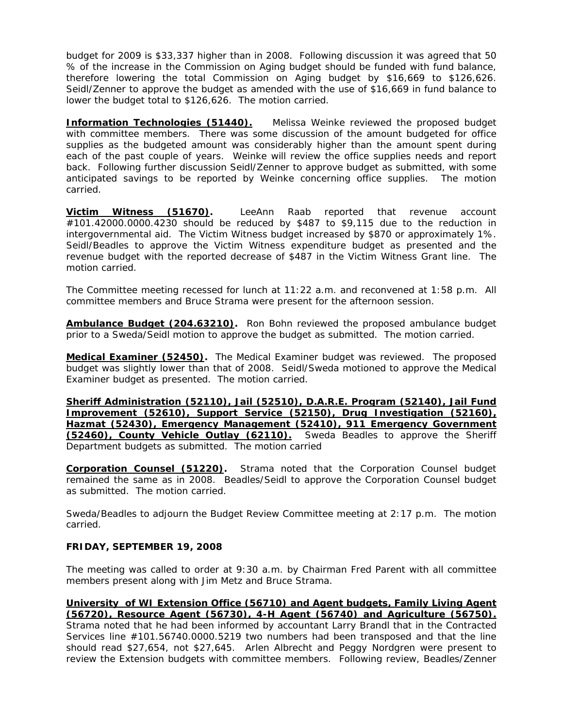budget for 2009 is \$33,337 higher than in 2008. Following discussion it was agreed that 50 % of the increase in the Commission on Aging budget should be funded with fund balance, therefore lowering the total Commission on Aging budget by \$16,669 to \$126,626. Seidl/Zenner to approve the budget as amended with the use of \$16,669 in fund balance to lower the budget total to \$126,626. The motion carried.

**Information Technologies (51440).** Melissa Weinke reviewed the proposed budget with committee members. There was some discussion of the amount budgeted for office supplies as the budgeted amount was considerably higher than the amount spent during each of the past couple of years. Weinke will review the office supplies needs and report back. Following further discussion Seidl/Zenner to approve budget as submitted, with some anticipated savings to be reported by Weinke concerning office supplies. The motion carried.

**Victim Witness (51670).** LeeAnn Raab reported that revenue account #101.42000.0000.4230 should be reduced by \$487 to \$9,115 due to the reduction in intergovernmental aid. The Victim Witness budget increased by \$870 or approximately 1%. Seidl/Beadles to approve the Victim Witness expenditure budget as presented and the revenue budget with the reported decrease of \$487 in the Victim Witness Grant line. The motion carried.

The Committee meeting recessed for lunch at 11:22 a.m. and reconvened at 1:58 p.m. All committee members and Bruce Strama were present for the afternoon session.

**Ambulance Budget (204.63210).** Ron Bohn reviewed the proposed ambulance budget prior to a Sweda/Seidl motion to approve the budget as submitted. The motion carried.

**Medical Examiner (52450).** The Medical Examiner budget was reviewed. The proposed budget was slightly lower than that of 2008. Seidl/Sweda motioned to approve the Medical Examiner budget as presented. The motion carried.

**Sheriff Administration (52110), Jail (52510), D.A.R.E. Program (52140), Jail Fund Improvement (52610), Support Service (52150), Drug Investigation (52160), Hazmat (52430), Emergency Management (52410), 911 Emergency Government (52460), County Vehicle Outlay (62110).** Sweda Beadles to approve the Sheriff Department budgets as submitted. The motion carried

**Corporation Counsel (51220).** Strama noted that the Corporation Counsel budget remained the same as in 2008. Beadles/Seidl to approve the Corporation Counsel budget as submitted. The motion carried.

Sweda/Beadles to adjourn the Budget Review Committee meeting at 2:17 p.m. The motion carried.

# **FRIDAY, SEPTEMBER 19, 2008**

The meeting was called to order at 9:30 a.m. by Chairman Fred Parent with all committee members present along with Jim Metz and Bruce Strama.

**University of WI Extension Office (56710) and Agent budgets, Family Living Agent (56720), Resource Agent (56730), 4-H Agent (56740) and Agriculture (56750).** Strama noted that he had been informed by accountant Larry Brandl that in the Contracted Services line #101.56740.0000.5219 two numbers had been transposed and that the line should read \$27,654, not \$27,645. Arlen Albrecht and Peggy Nordgren were present to review the Extension budgets with committee members. Following review, Beadles/Zenner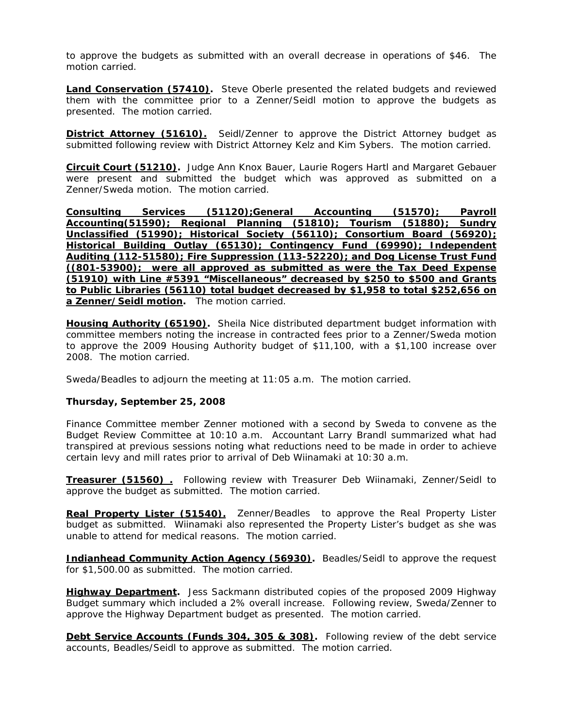to approve the budgets as submitted with an overall decrease in operations of \$46. The motion carried.

**Land Conservation (57410).** Steve Oberle presented the related budgets and reviewed them with the committee prior to a Zenner/Seidl motion to approve the budgets as presented. The motion carried.

**District Attorney (51610).** Seidl/Zenner to approve the District Attorney budget as submitted following review with District Attorney Kelz and Kim Sybers. The motion carried.

**Circuit Court (51210).** Judge Ann Knox Bauer, Laurie Rogers Hartl and Margaret Gebauer were present and submitted the budget which was approved as submitted on a Zenner/Sweda motion. The motion carried.

**Consulting Services (51120);General Accounting (51570); Payroll Accounting(51590); Regional Planning (51810); Tourism (51880); Sundry Unclassified (51990); Historical Society (56110); Consortium Board (56920); Historical Building Outlay (65130); Contingency Fund (69990); Independent Auditing (112-51580); Fire Suppression (113-52220); and Dog License Trust Fund ((801-53900); were all approved as submitted as were the Tax Deed Expense (51910) with Line #5391 "Miscellaneous" decreased by \$250 to \$500 and Grants to Public Libraries (56110) total budget decreased by \$1,958 to total \$252,656 on a Zenner/Seidl motion.** The motion carried.

**Housing Authority (65190).** Sheila Nice distributed department budget information with committee members noting the increase in contracted fees prior to a Zenner/Sweda motion to approve the 2009 Housing Authority budget of \$11,100, with a \$1,100 increase over 2008. The motion carried.

Sweda/Beadles to adjourn the meeting at 11:05 a.m. The motion carried.

#### **Thursday, September 25, 2008**

Finance Committee member Zenner motioned with a second by Sweda to convene as the Budget Review Committee at 10:10 a.m. Accountant Larry Brandl summarized what had transpired at previous sessions noting what reductions need to be made in order to achieve certain levy and mill rates prior to arrival of Deb Wiinamaki at 10:30 a.m.

**Treasurer (51560) .** Following review with Treasurer Deb Wiinamaki, Zenner/Seidl to approve the budget as submitted. The motion carried.

**Real Property Lister (51540).** Zenner/Beadles to approve the Real Property Lister budget as submitted. Wiinamaki also represented the Property Lister's budget as she was unable to attend for medical reasons. The motion carried.

**Indianhead Community Action Agency (56930).** Beadles/Seidl to approve the request for \$1,500.00 as submitted. The motion carried.

**Highway Department.** Jess Sackmann distributed copies of the proposed 2009 Highway Budget summary which included a 2% overall increase. Following review, Sweda/Zenner to approve the Highway Department budget as presented. The motion carried.

**Debt Service Accounts (Funds 304, 305 & 308).** Following review of the debt service accounts, Beadles/Seidl to approve as submitted. The motion carried.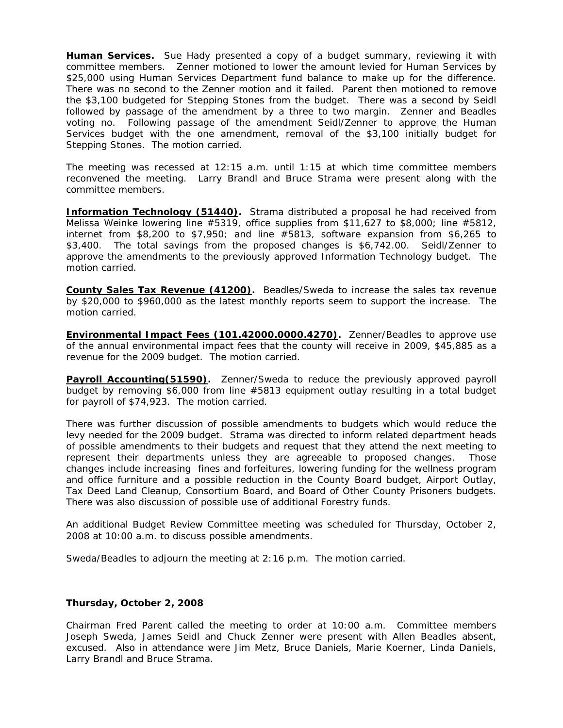**Human Services.** Sue Hady presented a copy of a budget summary, reviewing it with committee members. Zenner motioned to lower the amount levied for Human Services by \$25,000 using Human Services Department fund balance to make up for the difference. There was no second to the Zenner motion and it failed. Parent then motioned to remove the \$3,100 budgeted for Stepping Stones from the budget. There was a second by Seidl followed by passage of the amendment by a three to two margin. Zenner and Beadles voting no. Following passage of the amendment Seidl/Zenner to approve the Human Services budget with the one amendment, removal of the \$3,100 initially budget for Stepping Stones. The motion carried.

The meeting was recessed at 12:15 a.m. until 1:15 at which time committee members reconvened the meeting. Larry Brandl and Bruce Strama were present along with the committee members.

**Information Technology (51440).** Strama distributed a proposal he had received from Melissa Weinke lowering line #5319, office supplies from \$11,627 to \$8,000; line #5812, internet from \$8,200 to \$7,950; and line #5813, software expansion from \$6,265 to \$3,400. The total savings from the proposed changes is \$6,742.00. Seidl/Zenner to approve the amendments to the previously approved Information Technology budget. The motion carried.

**County Sales Tax Revenue (41200).** Beadles/Sweda to increase the sales tax revenue by \$20,000 to \$960,000 as the latest monthly reports seem to support the increase. The motion carried.

**Environmental Impact Fees (101.42000.0000.4270).** Zenner/Beadles to approve use of the annual environmental impact fees that the county will receive in 2009, \$45,885 as a revenue for the 2009 budget. The motion carried.

**Payroll Accounting(51590).** Zenner/Sweda to reduce the previously approved payroll budget by removing \$6,000 from line #5813 equipment outlay resulting in a total budget for payroll of \$74,923. The motion carried.

There was further discussion of possible amendments to budgets which would reduce the levy needed for the 2009 budget. Strama was directed to inform related department heads of possible amendments to their budgets and request that they attend the next meeting to represent their departments unless they are agreeable to proposed changes. Those changes include increasing fines and forfeitures, lowering funding for the wellness program and office furniture and a possible reduction in the County Board budget, Airport Outlay, Tax Deed Land Cleanup, Consortium Board, and Board of Other County Prisoners budgets. There was also discussion of possible use of additional Forestry funds.

An additional Budget Review Committee meeting was scheduled for Thursday, October 2, 2008 at 10:00 a.m. to discuss possible amendments.

Sweda/Beadles to adjourn the meeting at 2:16 p.m. The motion carried.

#### **Thursday, October 2, 2008**

Chairman Fred Parent called the meeting to order at 10:00 a.m. Committee members Joseph Sweda, James Seidl and Chuck Zenner were present with Allen Beadles absent, excused. Also in attendance were Jim Metz, Bruce Daniels, Marie Koerner, Linda Daniels, Larry Brandl and Bruce Strama.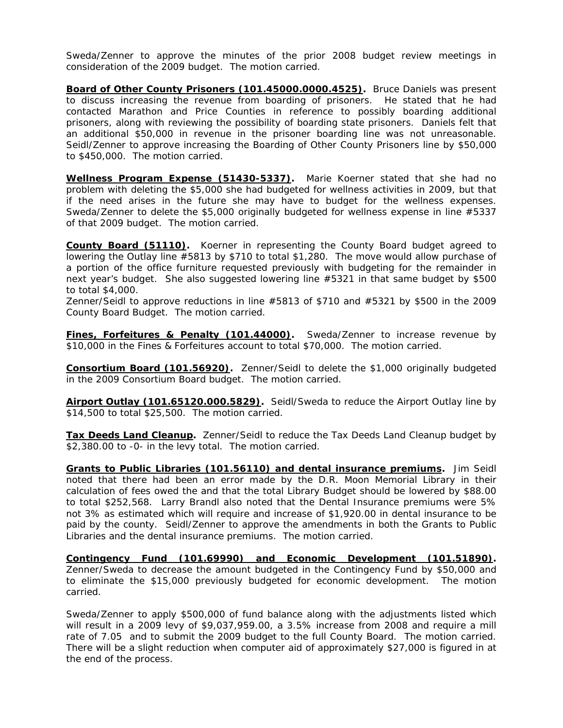Sweda/Zenner to approve the minutes of the prior 2008 budget review meetings in consideration of the 2009 budget. The motion carried.

**Board of Other County Prisoners (101.45000.0000.4525).** Bruce Daniels was present to discuss increasing the revenue from boarding of prisoners. He stated that he had contacted Marathon and Price Counties in reference to possibly boarding additional prisoners, along with reviewing the possibility of boarding state prisoners. Daniels felt that an additional \$50,000 in revenue in the prisoner boarding line was not unreasonable. Seidl/Zenner to approve increasing the Boarding of Other County Prisoners line by \$50,000 to \$450,000. The motion carried.

**Wellness Program Expense (51430-5337).** Marie Koerner stated that she had no problem with deleting the \$5,000 she had budgeted for wellness activities in 2009, but that if the need arises in the future she may have to budget for the wellness expenses. Sweda/Zenner to delete the \$5,000 originally budgeted for wellness expense in line #5337 of that 2009 budget. The motion carried.

**County Board (51110).** Koerner in representing the County Board budget agreed to lowering the Outlay line #5813 by \$710 to total \$1,280. The move would allow purchase of a portion of the office furniture requested previously with budgeting for the remainder in next year's budget. She also suggested lowering line #5321 in that same budget by \$500 to total \$4,000.

Zenner/Seidl to approve reductions in line #5813 of \$710 and #5321 by \$500 in the 2009 County Board Budget. The motion carried.

**Fines, Forfeitures & Penalty (101.44000).** Sweda/Zenner to increase revenue by \$10,000 in the Fines & Forfeitures account to total \$70,000. The motion carried.

**Consortium Board (101.56920).** Zenner/Seidl to delete the \$1,000 originally budgeted in the 2009 Consortium Board budget. The motion carried.

**Airport Outlay (101.65120.000.5829).** Seidl/Sweda to reduce the Airport Outlay line by \$14,500 to total \$25,500. The motion carried.

**Tax Deeds Land Cleanup.** Zenner/Seidl to reduce the Tax Deeds Land Cleanup budget by \$2,380.00 to -0- in the levy total. The motion carried.

**Grants to Public Libraries (101.56110) and dental insurance premiums.** Jim Seidl noted that there had been an error made by the D.R. Moon Memorial Library in their calculation of fees owed the and that the total Library Budget should be lowered by \$88.00 to total \$252,568. Larry Brandl also noted that the Dental Insurance premiums were 5% not 3% as estimated which will require and increase of \$1,920.00 in dental insurance to be paid by the county. Seidl/Zenner to approve the amendments in both the Grants to Public Libraries and the dental insurance premiums. The motion carried.

**Contingency Fund (101.69990) and Economic Development (101.51890).**  Zenner/Sweda to decrease the amount budgeted in the Contingency Fund by \$50,000 and to eliminate the \$15,000 previously budgeted for economic development. The motion carried.

Sweda/Zenner to apply \$500,000 of fund balance along with the adjustments listed which will result in a 2009 levy of \$9,037,959.00, a 3.5% increase from 2008 and require a mill rate of 7.05 and to submit the 2009 budget to the full County Board. The motion carried. There will be a slight reduction when computer aid of approximately \$27,000 is figured in at the end of the process.